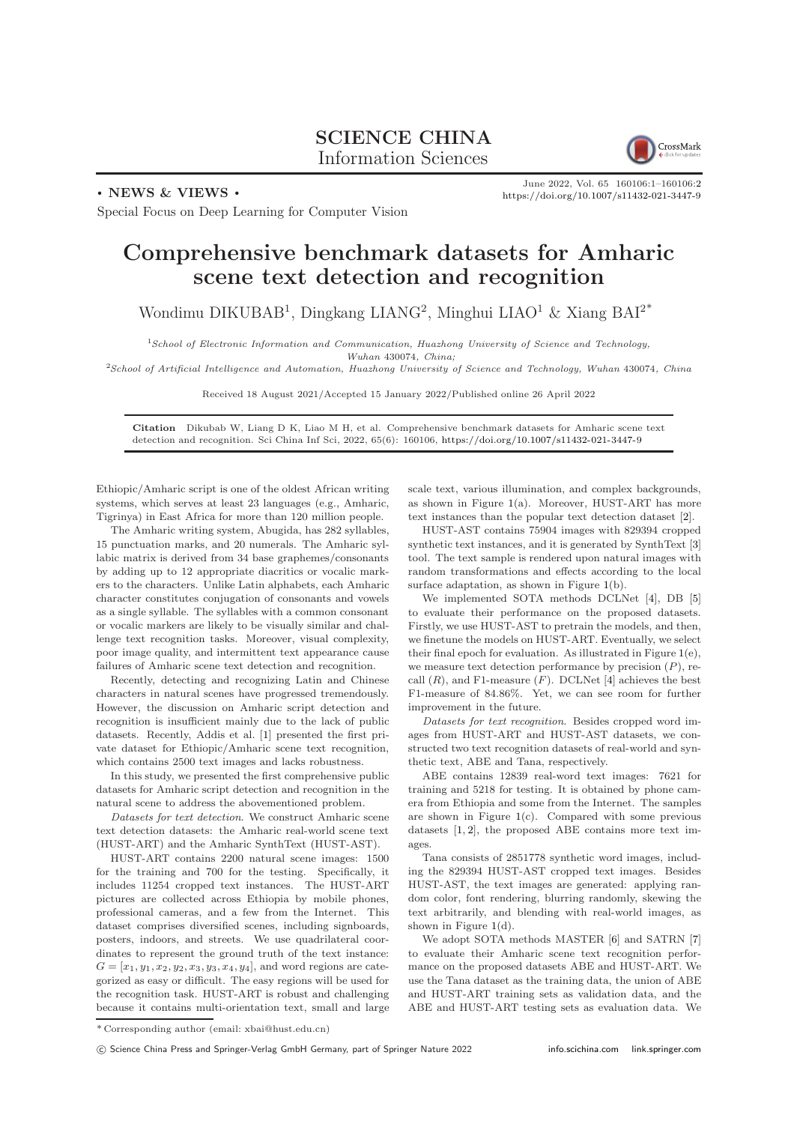## SCIENCE CHINA Information Sciences



. NEWS & VIEWS .

June 2022, Vol. 65 160106:1–160106[:2](#page-1-0) <https://doi.org/10.1007/s11432-021-3447-9>

Special Focus on Deep Learning for Computer Vision

## Comprehensive benchmark datasets for Amharic scene text detection and recognition

Wondimu DIKUBAB<sup>1</sup>, Dingkang LIANG<sup>2</sup>, Minghui LIAO<sup>1</sup> & Xiang BAI<sup>2\*</sup>

<sup>1</sup>School of Electronic Information and Communication, Huazhong University of Science and Technology, Wuhan 430074, China;

<sup>2</sup>School of Artificial Intelligence and Automation, Huazhong University of Science and Technology, Wuhan 430074, China

Received 18 August 2021/Accepted 15 January 2022/Published online 26 April 2022

Citation Dikubab W, Liang D K, Liao M H, et al. Comprehensive benchmark datasets for Amharic scene text detection and recognition. Sci China Inf Sci, 2022, 65(6): 160106, <https://doi.org/10.1007/s11432-021-3447-9>

Ethiopic/Amharic script is one of the oldest African writing systems, which serves at least 23 languages (e.g., Amharic, Tigrinya) in East Africa for more than 120 million people.

The Amharic writing system, Abugida, has 282 syllables, 15 punctuation marks, and 20 numerals. The Amharic syllabic matrix is derived from 34 base graphemes/consonants by adding up to 12 appropriate diacritics or vocalic markers to the characters. Unlike Latin alphabets, each Amharic character constitutes conjugation of consonants and vowels as a single syllable. The syllables with a common consonant or vocalic markers are likely to be visually similar and challenge text recognition tasks. Moreover, visual complexity, poor image quality, and intermittent text appearance cause failures of Amharic scene text detection and recognition.

Recently, detecting and recognizing Latin and Chinese characters in natural scenes have progressed tremendously. However, the discussion on Amharic script detection and recognition is insufficient mainly due to the lack of public datasets. Recently, Addis et al. [\[1\]](#page-1-1) presented the first private dataset for Ethiopic/Amharic scene text recognition, which contains 2500 text images and lacks robustness.

In this study, we presented the first comprehensive public datasets for Amharic script detection and recognition in the natural scene to address the abovementioned problem.

Datasets for text detection. We construct Amharic scene text detection datasets: the Amharic real-world scene text (HUST-ART) and the Amharic SynthText (HUST-AST).

HUST-ART contains 2200 natural scene images: 1500 for the training and 700 for the testing. Specifically, it includes 11254 cropped text instances. The HUST-ART pictures are collected across Ethiopia by mobile phones, professional cameras, and a few from the Internet. This dataset comprises diversified scenes, including signboards, posters, indoors, and streets. We use quadrilateral coordinates to represent the ground truth of the text instance:  $G = [x_1, y_1, x_2, y_2, x_3, y_3, x_4, y_4]$ , and word regions are categorized as easy or difficult. The easy regions will be used for the recognition task. HUST-ART is robust and challenging because it contains multi-orientation text, small and large

scale text, various illumination, and complex backgrounds, as shown in Figure [1\(](#page-1-2)a). Moreover, HUST-ART has more text instances than the popular text detection dataset [\[2\]](#page-1-3).

HUST-AST contains 75904 images with 829394 cropped synthetic text instances, and it is generated by SynthText [\[3\]](#page-1-4) tool. The text sample is rendered upon natural images with random transformations and effects according to the local surface adaptation, as shown in Figure [1\(](#page-1-2)b).

We implemented SOTA methods DCLNet [\[4\]](#page-1-5), DB [\[5\]](#page-1-6) to evaluate their performance on the proposed datasets. Firstly, we use HUST-AST to pretrain the models, and then, we finetune the models on HUST-ART. Eventually, we select their final epoch for evaluation. As illustrated in Figure [1\(](#page-1-2)e), we measure text detection performance by precision  $(P)$ , recall  $(R)$ , and F1-measure  $(F)$ . DCLNet  $[4]$  achieves the best F1-measure of 84.86%. Yet, we can see room for further improvement in the future.

Datasets for text recognition. Besides cropped word images from HUST-ART and HUST-AST datasets, we constructed two text recognition datasets of real-world and synthetic text, ABE and Tana, respectively.

ABE contains 12839 real-word text images: 7621 for training and 5218 for testing. It is obtained by phone camera from Ethiopia and some from the Internet. The samples are shown in Figure  $1(c)$  $1(c)$ . Compared with some previous datasets [\[1,](#page-1-1) [2\]](#page-1-3), the proposed ABE contains more text images.

Tana consists of 2851778 synthetic word images, including the 829394 HUST-AST cropped text images. Besides HUST-AST, the text images are generated: applying random color, font rendering, blurring randomly, skewing the text arbitrarily, and blending with real-world images, as shown in Figure [1\(](#page-1-2)d).

We adopt SOTA methods MASTER [\[6\]](#page-1-7) and SATRN [\[7\]](#page-1-8) to evaluate their Amharic scene text recognition performance on the proposed datasets ABE and HUST-ART. We use the Tana dataset as the training data, the union of ABE and HUST-ART training sets as validation data, and the ABE and HUST-ART testing sets as evaluation data. We

<sup>\*</sup> Corresponding author (email: xbai@hust.edu.cn)

c Science China Press and Springer-Verlag GmbH Germany, part of Springer Nature 2022 <info.scichina.com><link.springer.com>